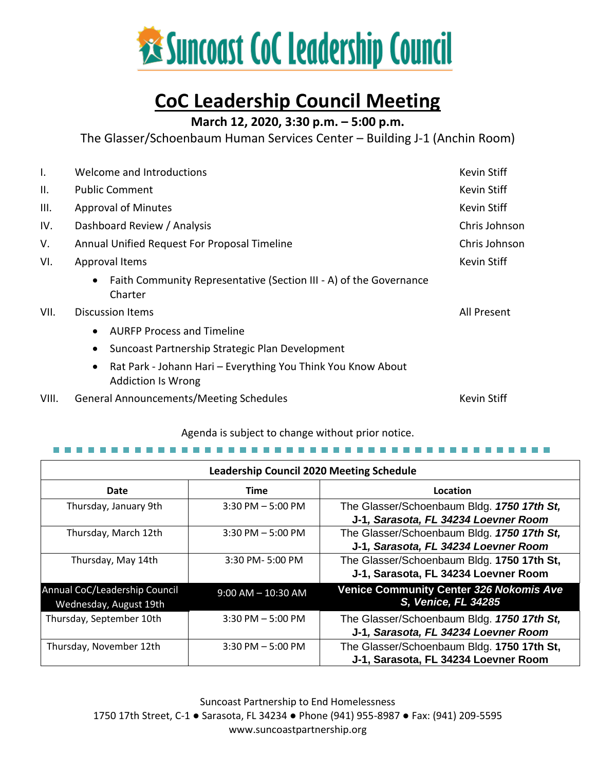

# **CoC Leadership Council Meeting**

# **March 12, 2020, 3:30 p.m. – 5:00 p.m.**

The Glasser/Schoenbaum Human Services Center – Building J-1 (Anchin Room)

| Ι.    | Welcome and Introductions<br><b>Kevin Stiff</b>                                                        |                    |
|-------|--------------------------------------------------------------------------------------------------------|--------------------|
| ΙΙ.   | <b>Public Comment</b>                                                                                  | Kevin Stiff        |
| III.  | <b>Approval of Minutes</b>                                                                             | <b>Kevin Stiff</b> |
| IV.   | Dashboard Review / Analysis<br>Chris Johnson                                                           |                    |
| V.    | Annual Unified Request For Proposal Timeline<br>Chris Johnson                                          |                    |
| VI.   | Approval Items                                                                                         | Kevin Stiff        |
|       | Faith Community Representative (Section III - A) of the Governance<br>$\bullet$<br>Charter             |                    |
| VII.  | <b>Discussion Items</b>                                                                                | All Present        |
|       | <b>AURFP Process and Timeline</b><br>$\bullet$                                                         |                    |
|       | Suncoast Partnership Strategic Plan Development<br>$\bullet$                                           |                    |
|       | Rat Park - Johann Hari - Everything You Think You Know About<br>$\bullet$<br><b>Addiction Is Wrong</b> |                    |
| VIII. | <b>General Announcements/Meeting Schedules</b>                                                         | <b>Kevin Stiff</b> |

#### Agenda is subject to change without prior notice.

#### 

| <b>Leadership Council 2020 Meeting Schedule</b>         |                        |                                                                                    |  |  |
|---------------------------------------------------------|------------------------|------------------------------------------------------------------------------------|--|--|
| Date                                                    | <b>Time</b>            | Location                                                                           |  |  |
| Thursday, January 9th                                   | $3:30$ PM $-5:00$ PM   | The Glasser/Schoenbaum Bldg. 1750 17th St,<br>J-1, Sarasota, FL 34234 Loevner Room |  |  |
| Thursday, March 12th                                    | $3:30$ PM $-5:00$ PM   | The Glasser/Schoenbaum Bldg. 1750 17th St,<br>J-1, Sarasota, FL 34234 Loevner Room |  |  |
| Thursday, May 14th                                      | 3:30 PM-5:00 PM        | The Glasser/Schoenbaum Bldg. 1750 17th St,<br>J-1, Sarasota, FL 34234 Loevner Room |  |  |
| Annual CoC/Leadership Council<br>Wednesday, August 19th | $9:00$ AM $- 10:30$ AM | <b>Venice Community Center 326 Nokomis Ave</b><br><b>S, Venice, FL 34285</b>       |  |  |
| Thursday, September 10th                                | $3:30$ PM $-5:00$ PM   | The Glasser/Schoenbaum Bldg. 1750 17th St,<br>J-1, Sarasota, FL 34234 Loevner Room |  |  |
| Thursday, November 12th                                 | $3:30$ PM $-5:00$ PM   | The Glasser/Schoenbaum Bldg. 1750 17th St,<br>J-1, Sarasota, FL 34234 Loevner Room |  |  |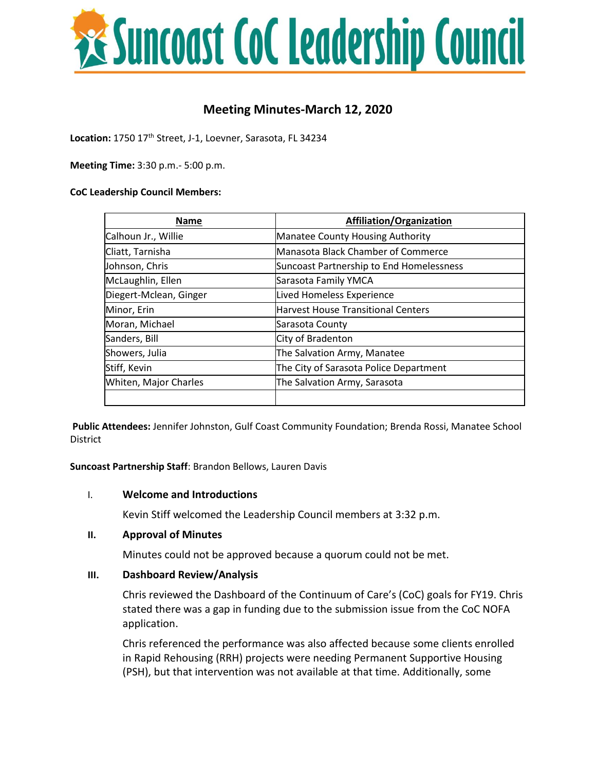

# **Meeting Minutes-March 12, 2020**

Location: 1750 17<sup>th</sup> Street, J-1, Loevner, Sarasota, FL 34234

**Meeting Time:** 3:30 p.m.- 5:00 p.m.

#### **CoC Leadership Council Members:**

| <b>Name</b>            | <b>Affiliation/Organization</b>           |
|------------------------|-------------------------------------------|
| Calhoun Jr., Willie    | <b>Manatee County Housing Authority</b>   |
| Cliatt, Tarnisha       | Manasota Black Chamber of Commerce        |
| Johnson, Chris         | Suncoast Partnership to End Homelessness  |
| McLaughlin, Ellen      | Sarasota Family YMCA                      |
| Diegert-Mclean, Ginger | Lived Homeless Experience                 |
| Minor, Erin            | <b>Harvest House Transitional Centers</b> |
| Moran, Michael         | Sarasota County                           |
| Sanders, Bill          | City of Bradenton                         |
| Showers, Julia         | The Salvation Army, Manatee               |
| Stiff, Kevin           | The City of Sarasota Police Department    |
| Whiten, Major Charles  | The Salvation Army, Sarasota              |
|                        |                                           |

**Public Attendees:** Jennifer Johnston, Gulf Coast Community Foundation; Brenda Rossi, Manatee School District

**Suncoast Partnership Staff**: Brandon Bellows, Lauren Davis

#### I. **Welcome and Introductions**

Kevin Stiff welcomed the Leadership Council members at 3:32 p.m.

#### **II. Approval of Minutes**

Minutes could not be approved because a quorum could not be met.

#### **III. Dashboard Review/Analysis**

Chris reviewed the Dashboard of the Continuum of Care's (CoC) goals for FY19. Chris stated there was a gap in funding due to the submission issue from the CoC NOFA application.

Chris referenced the performance was also affected because some clients enrolled in Rapid Rehousing (RRH) projects were needing Permanent Supportive Housing (PSH), but that intervention was not available at that time. Additionally, some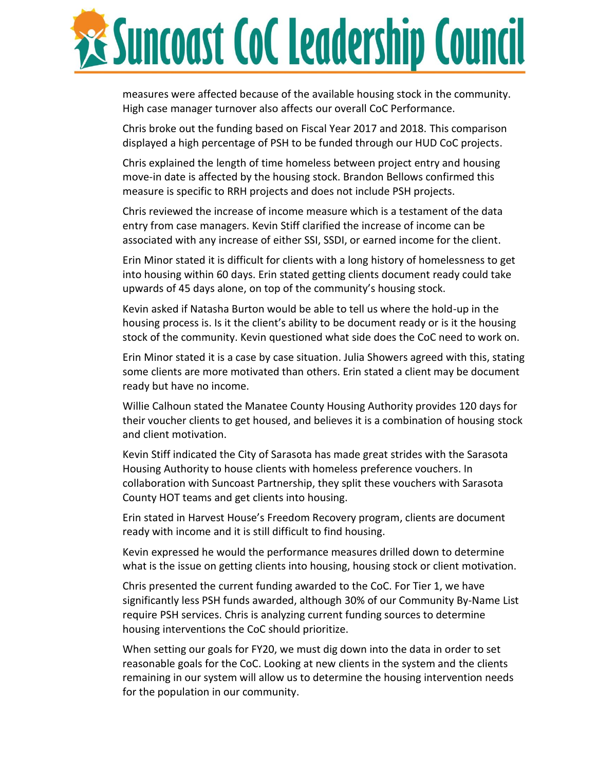

measures were affected because of the available housing stock in the community. High case manager turnover also affects our overall CoC Performance.

Chris broke out the funding based on Fiscal Year 2017 and 2018. This comparison displayed a high percentage of PSH to be funded through our HUD CoC projects.

Chris explained the length of time homeless between project entry and housing move-in date is affected by the housing stock. Brandon Bellows confirmed this measure is specific to RRH projects and does not include PSH projects.

Chris reviewed the increase of income measure which is a testament of the data entry from case managers. Kevin Stiff clarified the increase of income can be associated with any increase of either SSI, SSDI, or earned income for the client.

Erin Minor stated it is difficult for clients with a long history of homelessness to get into housing within 60 days. Erin stated getting clients document ready could take upwards of 45 days alone, on top of the community's housing stock.

Kevin asked if Natasha Burton would be able to tell us where the hold-up in the housing process is. Is it the client's ability to be document ready or is it the housing stock of the community. Kevin questioned what side does the CoC need to work on.

Erin Minor stated it is a case by case situation. Julia Showers agreed with this, stating some clients are more motivated than others. Erin stated a client may be document ready but have no income.

Willie Calhoun stated the Manatee County Housing Authority provides 120 days for their voucher clients to get housed, and believes it is a combination of housing stock and client motivation.

Kevin Stiff indicated the City of Sarasota has made great strides with the Sarasota Housing Authority to house clients with homeless preference vouchers. In collaboration with Suncoast Partnership, they split these vouchers with Sarasota County HOT teams and get clients into housing.

Erin stated in Harvest House's Freedom Recovery program, clients are document ready with income and it is still difficult to find housing.

Kevin expressed he would the performance measures drilled down to determine what is the issue on getting clients into housing, housing stock or client motivation.

Chris presented the current funding awarded to the CoC. For Tier 1, we have significantly less PSH funds awarded, although 30% of our Community By-Name List require PSH services. Chris is analyzing current funding sources to determine housing interventions the CoC should prioritize.

When setting our goals for FY20, we must dig down into the data in order to set reasonable goals for the CoC. Looking at new clients in the system and the clients remaining in our system will allow us to determine the housing intervention needs for the population in our community.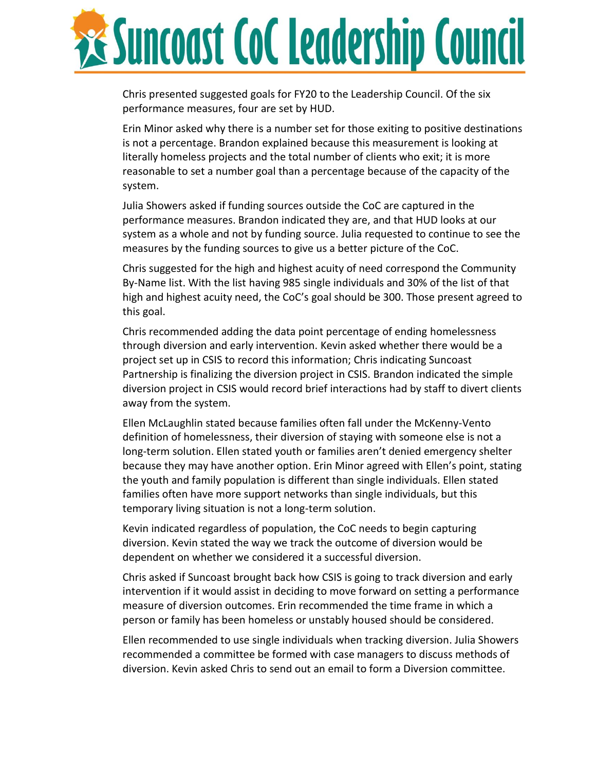

Chris presented suggested goals for FY20 to the Leadership Council. Of the six performance measures, four are set by HUD.

Erin Minor asked why there is a number set for those exiting to positive destinations is not a percentage. Brandon explained because this measurement is looking at literally homeless projects and the total number of clients who exit; it is more reasonable to set a number goal than a percentage because of the capacity of the system.

Julia Showers asked if funding sources outside the CoC are captured in the performance measures. Brandon indicated they are, and that HUD looks at our system as a whole and not by funding source. Julia requested to continue to see the measures by the funding sources to give us a better picture of the CoC.

Chris suggested for the high and highest acuity of need correspond the Community By-Name list. With the list having 985 single individuals and 30% of the list of that high and highest acuity need, the CoC's goal should be 300. Those present agreed to this goal.

Chris recommended adding the data point percentage of ending homelessness through diversion and early intervention. Kevin asked whether there would be a project set up in CSIS to record this information; Chris indicating Suncoast Partnership is finalizing the diversion project in CSIS. Brandon indicated the simple diversion project in CSIS would record brief interactions had by staff to divert clients away from the system.

Ellen McLaughlin stated because families often fall under the McKenny-Vento definition of homelessness, their diversion of staying with someone else is not a long-term solution. Ellen stated youth or families aren't denied emergency shelter because they may have another option. Erin Minor agreed with Ellen's point, stating the youth and family population is different than single individuals. Ellen stated families often have more support networks than single individuals, but this temporary living situation is not a long-term solution.

Kevin indicated regardless of population, the CoC needs to begin capturing diversion. Kevin stated the way we track the outcome of diversion would be dependent on whether we considered it a successful diversion.

Chris asked if Suncoast brought back how CSIS is going to track diversion and early intervention if it would assist in deciding to move forward on setting a performance measure of diversion outcomes. Erin recommended the time frame in which a person or family has been homeless or unstably housed should be considered.

Ellen recommended to use single individuals when tracking diversion. Julia Showers recommended a committee be formed with case managers to discuss methods of diversion. Kevin asked Chris to send out an email to form a Diversion committee.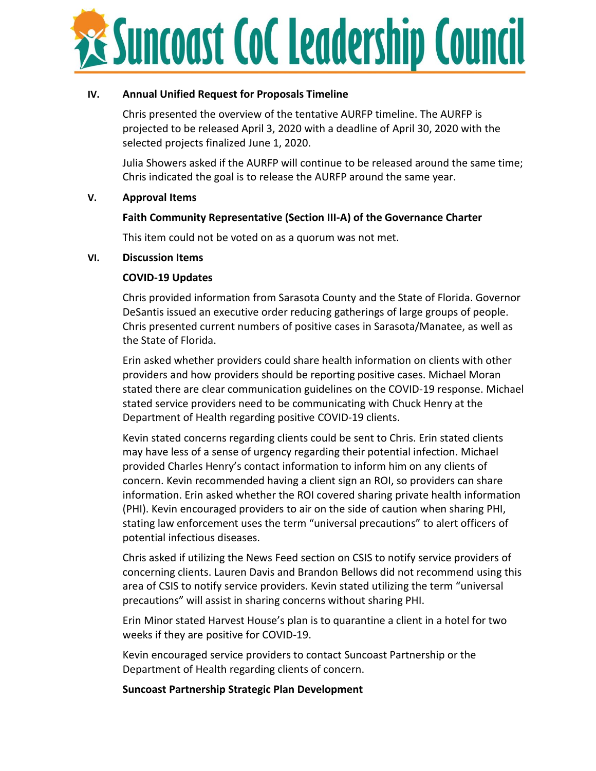

### **IV. Annual Unified Request for Proposals Timeline**

Chris presented the overview of the tentative AURFP timeline. The AURFP is projected to be released April 3, 2020 with a deadline of April 30, 2020 with the selected projects finalized June 1, 2020.

Julia Showers asked if the AURFP will continue to be released around the same time; Chris indicated the goal is to release the AURFP around the same year.

### **V. Approval Items**

## **Faith Community Representative (Section III-A) of the Governance Charter**

This item could not be voted on as a quorum was not met.

### **VI. Discussion Items**

## **COVID-19 Updates**

Chris provided information from Sarasota County and the State of Florida. Governor DeSantis issued an executive order reducing gatherings of large groups of people. Chris presented current numbers of positive cases in Sarasota/Manatee, as well as the State of Florida.

Erin asked whether providers could share health information on clients with other providers and how providers should be reporting positive cases. Michael Moran stated there are clear communication guidelines on the COVID-19 response. Michael stated service providers need to be communicating with Chuck Henry at the Department of Health regarding positive COVID-19 clients.

Kevin stated concerns regarding clients could be sent to Chris. Erin stated clients may have less of a sense of urgency regarding their potential infection. Michael provided Charles Henry's contact information to inform him on any clients of concern. Kevin recommended having a client sign an ROI, so providers can share information. Erin asked whether the ROI covered sharing private health information (PHI). Kevin encouraged providers to air on the side of caution when sharing PHI, stating law enforcement uses the term "universal precautions" to alert officers of potential infectious diseases.

Chris asked if utilizing the News Feed section on CSIS to notify service providers of concerning clients. Lauren Davis and Brandon Bellows did not recommend using this area of CSIS to notify service providers. Kevin stated utilizing the term "universal precautions" will assist in sharing concerns without sharing PHI.

Erin Minor stated Harvest House's plan is to quarantine a client in a hotel for two weeks if they are positive for COVID-19.

Kevin encouraged service providers to contact Suncoast Partnership or the Department of Health regarding clients of concern.

**Suncoast Partnership Strategic Plan Development**